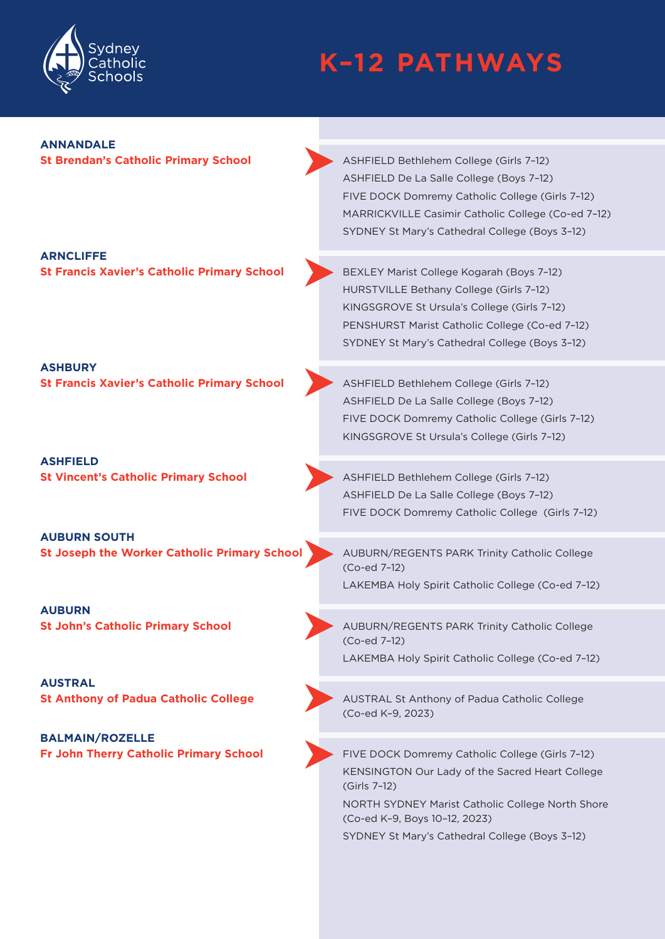

# **K–12 PATHWAYS**

# **ANNANDALE**

**St Brendan's Catholic Primary School ASHFIELD Bethlehem College (Girls 7-12)** ASHFIELD De La Salle College (Boys 7–12) FIVE DOCK Domremy Catholic College (Girls 7–12) MARRICKVILLE Casimir Catholic College (Co-ed 7–12) SYDNEY St Mary's Cathedral College (Boys 3–12)

- **ARNCLIFFE St Francis Xavier's Catholic Primary School <b>BEXLEY Marist College Kogarah (Boys 7-12)**
- **ASHBURY St Francis Xavier's Catholic Primary School And ASHFIELD Bethlehem College (Girls 7-12)**
- **ASHFIELD St Vincent's Catholic Primary School ASHFIELD Bethlehem College (Girls 7-12)**
- **AUBURN SOUTH**
- **AUBURN**
- **AUSTRAL**
- **BALMAIN/ROZELLE**
- HURSTVILLE Bethany College (Girls 7–12) KINGSGROVE St Ursula's College (Girls 7–12) PENSHURST Marist Catholic College (Co-ed 7–12) SYDNEY St Mary's Cathedral College (Boys 3–12)
- ASHFIELD De La Salle College (Boys 7–12) FIVE DOCK Domremy Catholic College (Girls 7–12) KINGSGROVE St Ursula's College (Girls 7–12)
- ASHFIELD De La Salle College (Boys 7–12) FIVE DOCK Domremy Catholic College (Girls 7–12)
- **St Joseph the Worker Catholic Primary School** AUBURN/REGENTS PARK Trinity Catholic College (Co-ed 7–12) LAKEMBA Holy Spirit Catholic College (Co-ed 7–12)
- **St John's Catholic Primary School AUBURN/REGENTS PARK Trinity Catholic College** (Co-ed 7–12) LAKEMBA Holy Spirit Catholic College (Co-ed 7–12)
- **St Anthony of Padua Catholic College** AUSTRAL St Anthony of Padua Catholic College (Co-ed K–9, 2023)
- **Fr John Therry Catholic Primary School College (Girls 7-12)** FIVE DOCK Domremy Catholic College (Girls 7-12) KENSINGTON Our Lady of the Sacred Heart College (Girls 7–12)
	- NORTH SYDNEY Marist Catholic College North Shore (Co-ed K–9, Boys 10–12, 2023)
	- SYDNEY St Mary's Cathedral College (Boys 3–12)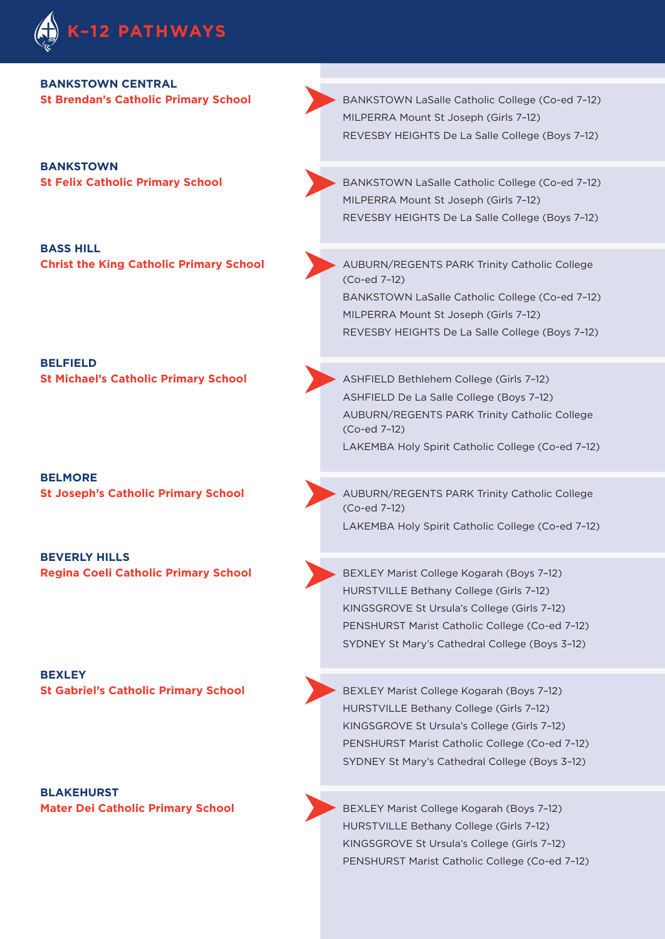

#### **BANKSTOWN CENTRAL**

**BANKSTOWN** 

**BASS HILL** 

**BELFIELD** 

**BELMORE** 

**BEVERLY HILLS** 

**BEXLEY**

**BLAKEHURST** 

**St Brendan's Catholic Primary School BANKSTOWN LaSalle Catholic College (Co-ed 7-12)** MILPERRA Mount St Joseph (Girls 7–12) REVESBY HEIGHTS De La Salle College (Boys 7–12)

**St Felix Catholic Primary School** BANKSTOWN LaSalle Catholic College (Co-ed 7–12) MILPERRA Mount St Joseph (Girls 7–12) REVESBY HEIGHTS De La Salle College (Boys 7–12)

**Christ the King Catholic Primary School AUBURN/REGENTS PARK Trinity Catholic College** (Co-ed 7–12) BANKSTOWN LaSalle Catholic College (Co-ed 7–12)

> MILPERRA Mount St Joseph (Girls 7–12) REVESBY HEIGHTS De La Salle College (Boys 7–12)

**St Michael's Catholic Primary School ASHFIELD Bethlehem College (Girls 7-12)** ASHFIELD De La Salle College (Boys 7–12) AUBURN/REGENTS PARK Trinity Catholic College (Co-ed 7–12) LAKEMBA Holy Spirit Catholic College (Co-ed 7–12)

**St Joseph's Catholic Primary School AUBURN/REGENTS PARK Trinity Catholic College** (Co-ed 7–12) LAKEMBA Holy Spirit Catholic College (Co-ed 7–12)

**Regina Coeli Catholic Primary School <b>BEXLEY Marist College Kogarah (Boys 7-12)** HURSTVILLE Bethany College (Girls 7–12) KINGSGROVE St Ursula's College (Girls 7–12) PENSHURST Marist Catholic College (Co-ed 7–12) SYDNEY St Mary's Cathedral College (Boys 3–12)

**St Gabriel's Catholic Primary School <b>BEXLEY Marist College Kogarah (Boys 7-12)** HURSTVILLE Bethany College (Girls 7–12) KINGSGROVE St Ursula's College (Girls 7–12) PENSHURST Marist Catholic College (Co-ed 7–12) SYDNEY St Mary's Cathedral College (Boys 3–12)

**Mater Dei Catholic Primary School <b>BEXLEY Marist College Kogarah (Boys 7-12)** BEXLEY Marist College Kogarah (Boys 7-12) HURSTVILLE Bethany College (Girls 7–12) KINGSGROVE St Ursula's College (Girls 7–12) PENSHURST Marist Catholic College (Co-ed 7–12)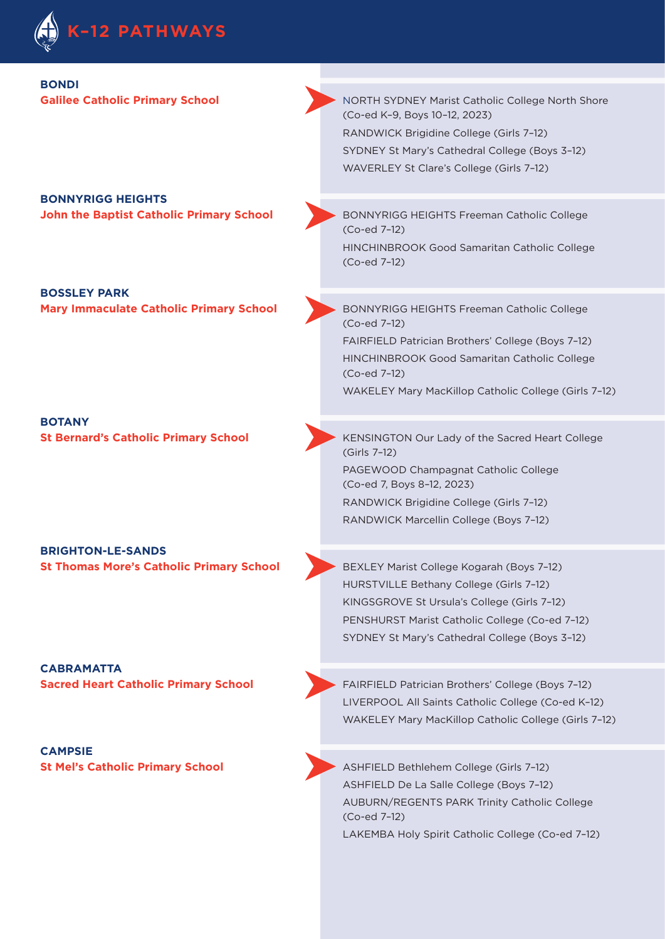

| <b>BONDI</b><br><b>Galilee Catholic Primary School</b>                      | NORTH SYDNEY Marist Catholic College North Shore<br>(Co-ed K-9, Boys 10-12, 2023)<br>RANDWICK Brigidine College (Girls 7-12)<br>SYDNEY St Mary's Cathedral College (Boys 3-12)<br>WAVERLEY St Clare's College (Girls 7-12)              |
|-----------------------------------------------------------------------------|-----------------------------------------------------------------------------------------------------------------------------------------------------------------------------------------------------------------------------------------|
| <b>BONNYRIGG HEIGHTS</b><br><b>John the Baptist Catholic Primary School</b> | BONNYRIGG HEIGHTS Freeman Catholic College<br>(Co-ed 7-12)<br>HINCHINBROOK Good Samaritan Catholic College<br>(Co-ed 7-12)                                                                                                              |
| <b>BOSSLEY PARK</b><br><b>Mary Immaculate Catholic Primary School</b>       | BONNYRIGG HEIGHTS Freeman Catholic College<br>(Co-ed 7-12)<br>FAIRFIELD Patrician Brothers' College (Boys 7-12)<br>HINCHINBROOK Good Samaritan Catholic College<br>(Co-ed 7-12)<br>WAKELEY Mary MacKillop Catholic College (Girls 7-12) |
| <b>BOTANY</b><br><b>St Bernard's Catholic Primary School</b>                | KENSINGTON Our Lady of the Sacred Heart College<br>(Girls 7-12)<br>PAGEWOOD Champagnat Catholic College<br>(Co-ed 7, Boys 8-12, 2023)<br>RANDWICK Brigidine College (Girls 7-12)<br>RANDWICK Marcellin College (Boys 7-12)              |
| <b>BRIGHTON-LE-SANDS</b><br><b>St Thomas More's Catholic Primary School</b> | BEXLEY Marist College Kogarah (Boys 7-12)<br>HURSTVILLE Bethany College (Girls 7-12)<br>KINGSGROVE St Ursula's College (Girls 7-12)<br>PENSHURST Marist Catholic College (Co-ed 7-12)<br>SYDNEY St Mary's Cathedral College (Boys 3-12) |
| <b>CABRAMATTA</b><br><b>Sacred Heart Catholic Primary School</b>            | FAIRFIELD Patrician Brothers' College (Boys 7-12)<br>LIVERPOOL All Saints Catholic College (Co-ed K-12)<br>WAKELEY Mary MacKillop Catholic College (Girls 7-12)                                                                         |

**CAMPSIE** 

**St Mel's Catholic Primary School ASHFIELD Bethlehem College (Girls 7-12)** ASHFIELD De La Salle College (Boys 7–12) AUBURN/REGENTS PARK Trinity Catholic College (Co-ed 7–12) LAKEMBA Holy Spirit Catholic College (Co-ed 7–12)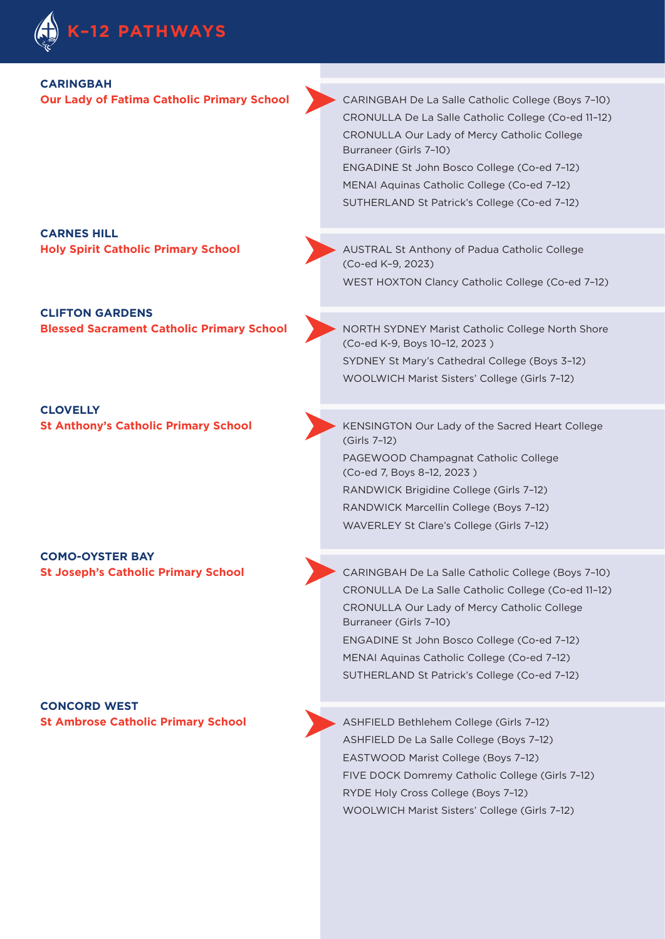

#### **CARINGBAH**

**Our Lady of Fatima Catholic Primary School CARINGBAH De La Salle Catholic College (Boys 7-10)** CRONULLA De La Salle Catholic College (Co-ed 11–12) CRONULLA Our Lady of Mercy Catholic College Burraneer (Girls 7–10) ENGADINE St John Bosco College (Co-ed 7–12)

MENAI Aquinas Catholic College (Co-ed 7–12) SUTHERLAND St Patrick's College (Co-ed 7–12)

**CARNES HILL** 

**CLIFTON GARDENS** 

**CLOVELLY** 

**COMO-OYSTER BAY** 

**CONCORD WEST** 

**Holy Spirit Catholic Primary School AUSTRAL St Anthony of Padua Catholic College** (Co-ed K–9, 2023)

WEST HOXTON Clancy Catholic College (Co-ed 7–12)

**Blessed Sacrament Catholic Primary School** NORTH SYDNEY Marist Catholic College North Shore (Co-ed K-9, Boys 10–12, 2023 ) SYDNEY St Mary's Cathedral College (Boys 3–12) WOOLWICH Marist Sisters' College (Girls 7–12)

**St Anthony's Catholic Primary School KENSINGTON Our Lady of the Sacred Heart College** (Girls 7–12)

PAGEWOOD Champagnat Catholic College (Co-ed 7, Boys 8–12, 2023 ) RANDWICK Brigidine College (Girls 7–12)

RANDWICK Marcellin College (Boys 7–12) WAVERLEY St Clare's College (Girls 7–12)

**St Joseph's Catholic Primary School CARINGBAH De La Salle Catholic College (Boys 7-10)** CRONULLA De La Salle Catholic College (Co-ed 11–12) CRONULLA Our Lady of Mercy Catholic College Burraneer (Girls 7–10) ENGADINE St John Bosco College (Co-ed 7–12) MENAI Aquinas Catholic College (Co-ed 7–12) SUTHERLAND St Patrick's College (Co-ed 7–12)

**St Ambrose Catholic Primary School ASHFIELD Bethlehem College (Girls 7-12)** ASHFIELD De La Salle College (Boys 7–12) EASTWOOD Marist College (Boys 7–12) FIVE DOCK Domremy Catholic College (Girls 7–12) RYDE Holy Cross College (Boys 7–12) WOOLWICH Marist Sisters' College (Girls 7–12)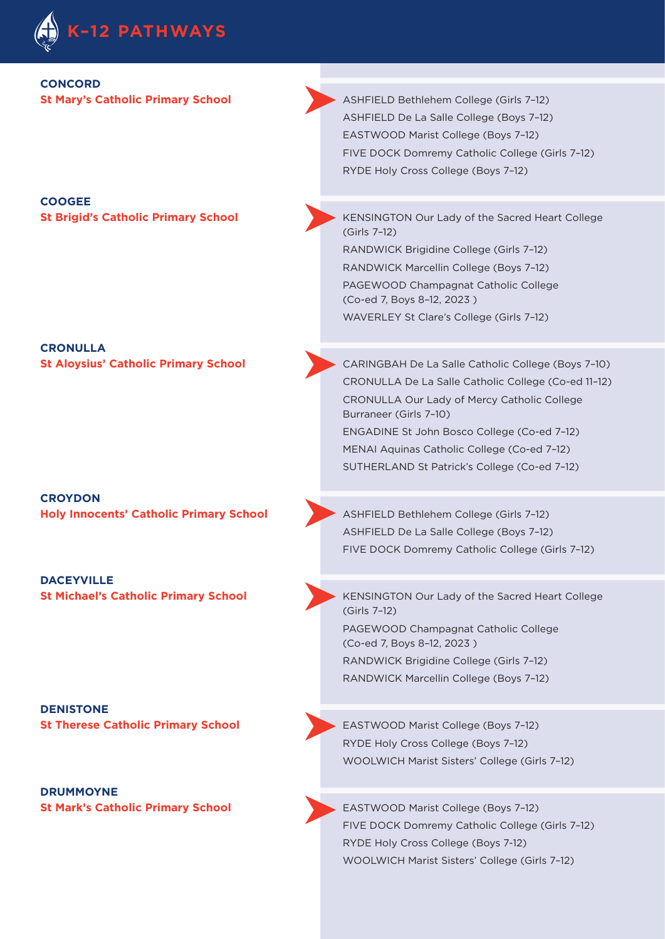

#### **CONCORD**

### **COOGEE**

**CRONULLA** 

**CROYDON Holy Innocents' Catholic Primary School ASHFIELD Bethlehem College (Girls 7-12)** 

**DACEYVILLE** 

**DENISTONE** 

**DRUMMOYNE** 

**St Mary's Catholic Primary School ASHFIELD Bethlehem College (Girls 7-12)** ASHFIELD De La Salle College (Boys 7–12) EASTWOOD Marist College (Boys 7–12) FIVE DOCK Domremy Catholic College (Girls 7–12) RYDE Holy Cross College (Boys 7–12)

**St Brigid's Catholic Primary School KENSINGTON Our Lady of the Sacred Heart College** (Girls 7–12) RANDWICK Brigidine College (Girls 7–12)

> RANDWICK Marcellin College (Boys 7–12) PAGEWOOD Champagnat Catholic College (Co-ed 7, Boys 8–12, 2023 ) WAVERLEY St Clare's College (Girls 7–12)

**St Aloysius' Catholic Primary School** *CARINGBAH De La Salle Catholic College (Boys 7-10)* CRONULLA De La Salle Catholic College (Co-ed 11–12) CRONULLA Our Lady of Mercy Catholic College Burraneer (Girls 7–10) ENGADINE St John Bosco College (Co-ed 7–12) MENAI Aquinas Catholic College (Co-ed 7–12) SUTHERLAND St Patrick's College (Co-ed 7–12)

> ASHFIELD De La Salle College (Boys 7–12) FIVE DOCK Domremy Catholic College (Girls 7–12)

**St Michael's Catholic Primary School KENSINGTON Our Lady of the Sacred Heart College** (Girls 7–12) PAGEWOOD Champagnat Catholic College (Co-ed 7, Boys 8–12, 2023 ) RANDWICK Brigidine College (Girls 7–12) RANDWICK Marcellin College (Boys 7–12)

**St Therese Catholic Primary School EASTWOOD Marist College (Boys 7-12)** RYDE Holy Cross College (Boys 7–12) WOOLWICH Marist Sisters' College (Girls 7–12)

**St Mark's Catholic Primary School EASTWOOD Marist College (Boys 7-12)** FIVE DOCK Domremy Catholic College (Girls 7–12) RYDE Holy Cross College (Boys 7-12) WOOLWICH Marist Sisters' College (Girls 7–12)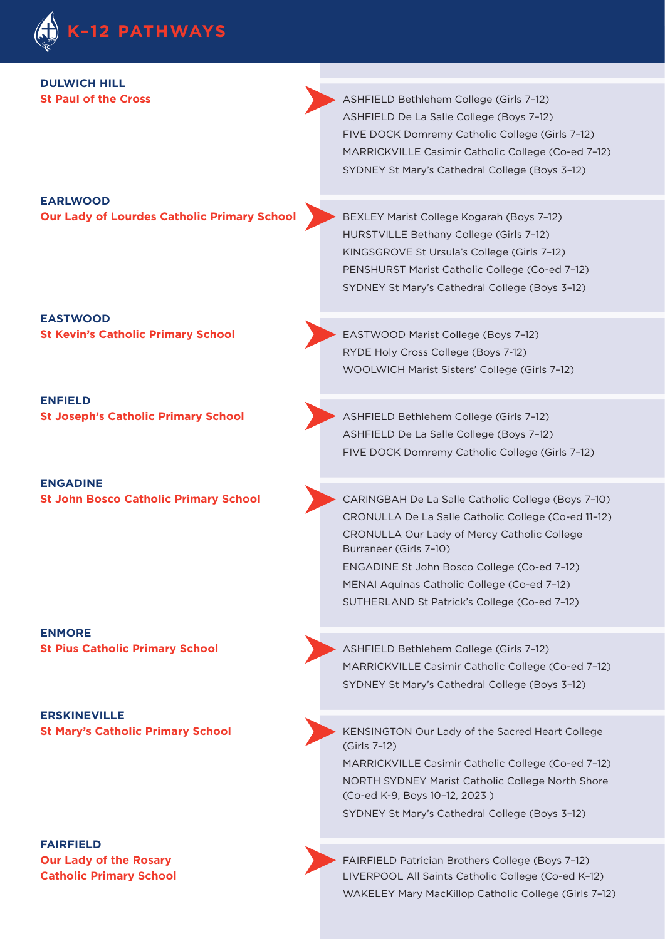

**DULWICH HILL** 

**St Paul of the Cross ASHFIELD Bethlehem College (Girls 7-12)** ASHFIELD De La Salle College (Boys 7–12) FIVE DOCK Domremy Catholic College (Girls 7–12) MARRICKVILLE Casimir Catholic College (Co-ed 7–12) SYDNEY St Mary's Cathedral College (Boys 3–12)

#### **EARLWOOD**

**Our Lady of Lourdes Catholic Primary School BEXLEY Marist College Kogarah (Boys 7-12)** 

**EASTWOOD** 

**ENFIELD** 

**ENGADINE** 

**ENMORE** 

**ERSKINEVILLE** 

**FAIRFIELD** 

HURSTVILLE Bethany College (Girls 7–12) KINGSGROVE St Ursula's College (Girls 7–12) PENSHURST Marist Catholic College (Co-ed 7–12) SYDNEY St Mary's Cathedral College (Boys 3–12)

**St Kevin's Catholic Primary School EASTWOOD Marist College (Boys 7-12)** RYDE Holy Cross College (Boys 7-12) WOOLWICH Marist Sisters' College (Girls 7–12)

**St Joseph's Catholic Primary School ASHFIELD Bethlehem College (Girls 7-12)** ASHFIELD De La Salle College (Boys 7–12) FIVE DOCK Domremy Catholic College (Girls 7–12)

**St John Bosco Catholic Primary School <br>
CARINGBAH De La Salle Catholic College (Boys 7-10)** CRONULLA De La Salle Catholic College (Co-ed 11–12) CRONULLA Our Lady of Mercy Catholic College Burraneer (Girls 7–10) ENGADINE St John Bosco College (Co-ed 7–12) MENAI Aquinas Catholic College (Co-ed 7–12) SUTHERLAND St Patrick's College (Co-ed 7–12)

**St Pius Catholic Primary School ASHFIELD Bethlehem College (Girls 7-12)** MARRICKVILLE Casimir Catholic College (Co-ed 7–12) SYDNEY St Mary's Cathedral College (Boys 3–12)

**St Mary's Catholic Primary School <b>St Mary's Catholic Primary School** KENSINGTON Our Lady of the Sacred Heart College (Girls 7–12)

> MARRICKVILLE Casimir Catholic College (Co-ed 7–12) NORTH SYDNEY Marist Catholic College North Shore (Co-ed K-9, Boys 10–12, 2023 ) SYDNEY St Mary's Cathedral College (Boys 3–12)

**Our Lady of the Rosary FAIRFIELD Patrician Brothers College (Boys 7-12) Catholic Primary School Catholic College (Co-ed K-12) LIVERPOOL All Saints Catholic College (Co-ed K-12)** WAKELEY Mary MacKillop Catholic College (Girls 7–12)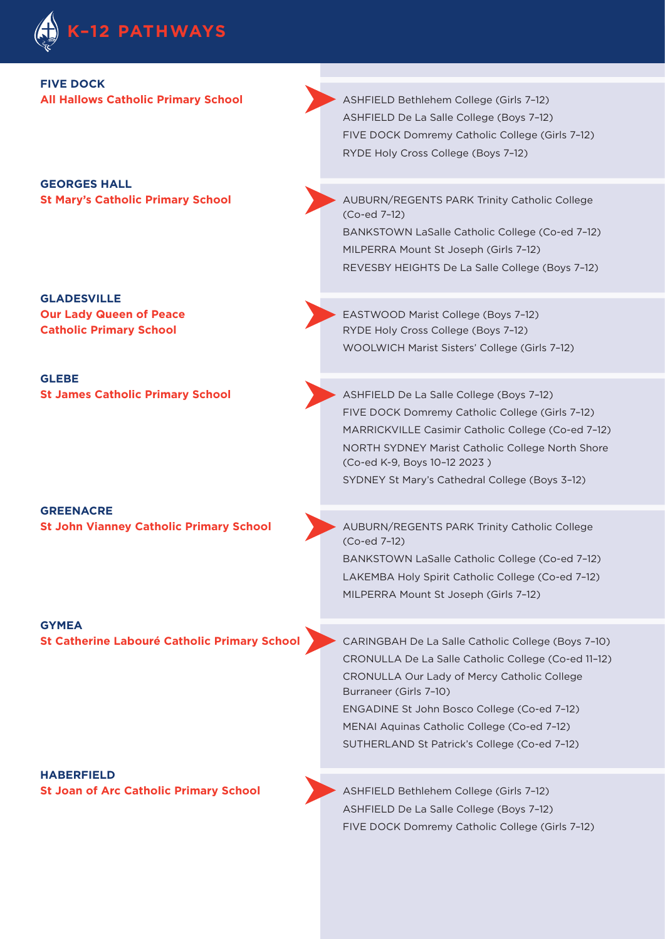

## **FIVE DOCK**

**GEORGES HALL** 

**GLADESVILLE**

**GLEBE** 

**GREENACRE** 

**GYMEA** 

**HABERFIELD St Joan of Arc Catholic Primary School ASHFIELD Bethlehem College (Girls 7-12)** 

**All Hallows Catholic Primary School ASHFIELD Bethlehem College (Girls 7-12)** ASHFIELD De La Salle College (Boys 7–12) FIVE DOCK Domremy Catholic College (Girls 7–12) RYDE Holy Cross College (Boys 7–12)

**St Mary's Catholic Primary School AUBURN/REGENTS PARK Trinity Catholic College** (Co-ed 7–12) BANKSTOWN LaSalle Catholic College (Co-ed 7–12) MILPERRA Mount St Joseph (Girls 7–12) REVESBY HEIGHTS De La Salle College (Boys 7–12)

**Our Lady Queen of Peace Access 2008 EASTWOOD Marist College (Boys 7-12) Catholic Primary School Catholic RYDE Holy Cross College (Boys 7-12)** WOOLWICH Marist Sisters' College (Girls 7–12)

**St James Catholic Primary School <b>ASHFIELD De La Salle College (Boys 7-12)** FIVE DOCK Domremy Catholic College (Girls 7–12) MARRICKVILLE Casimir Catholic College (Co-ed 7–12) NORTH SYDNEY Marist Catholic College North Shore (Co-ed K-9, Boys 10–12 2023 ) SYDNEY St Mary's Cathedral College (Boys 3–12)

**St John Vianney Catholic Primary School AUBURN/REGENTS PARK Trinity Catholic College** (Co-ed 7–12) BANKSTOWN LaSalle Catholic College (Co-ed 7–12) LAKEMBA Holy Spirit Catholic College (Co-ed 7–12) MILPERRA Mount St Joseph (Girls 7–12)

**St Catherine Labouré Catholic Primary School > CARINGBAH De La Salle Catholic College (Boys 7-10)** CRONULLA De La Salle Catholic College (Co-ed 11–12) CRONULLA Our Lady of Mercy Catholic College Burraneer (Girls 7–10) ENGADINE St John Bosco College (Co-ed 7–12) MENAI Aquinas Catholic College (Co-ed 7–12) SUTHERLAND St Patrick's College (Co-ed 7–12)

> ASHFIELD De La Salle College (Boys 7–12) FIVE DOCK Domremy Catholic College (Girls 7–12)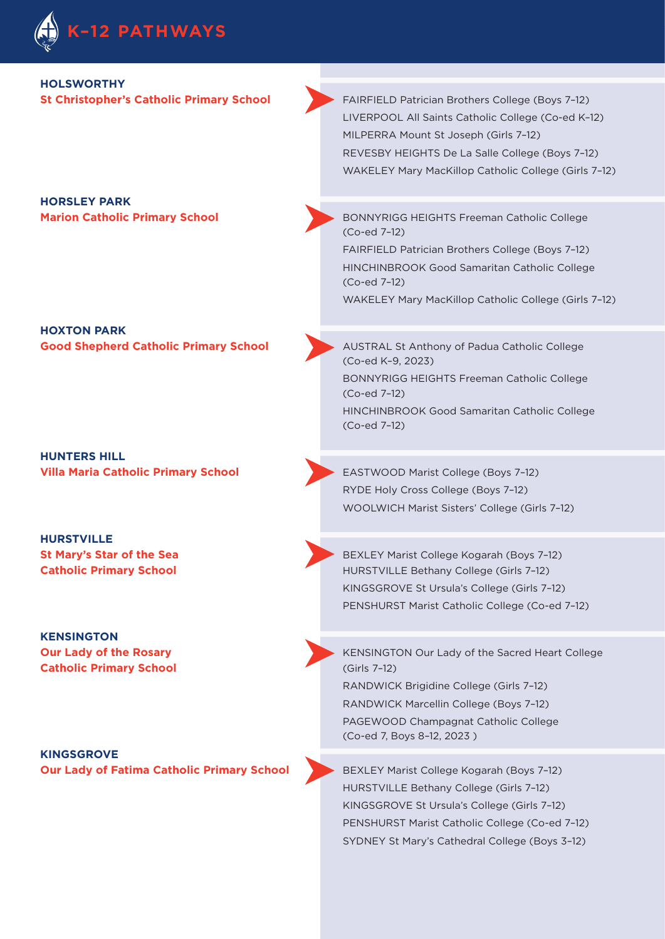

#### **HOLSWORTHY**

**HORSLEY PARK** 

**HOXTON PARK Good Shepherd Catholic Primary School AUSTRAL St Anthony of Padua Catholic College** 

**HUNTERS HILL Villa Maria Catholic Primary School EASTWOOD Marist College (Boys 7-12)** 

**HURSTVILLE** 

**KENSINGTON Catholic Primary School** (Girls 7–12)

**KINGSGROVE Our Lady of Fatima Catholic Primary School BEXLEY Marist College Kogarah (Boys 7-12)** 

**St Christopher's Catholic Primary School FAIRFIELD Patrician Brothers College (Boys 7-12)** LIVERPOOL All Saints Catholic College (Co-ed K–12) MILPERRA Mount St Joseph (Girls 7–12) REVESBY HEIGHTS De La Salle College (Boys 7–12) WAKELEY Mary MacKillop Catholic College (Girls 7–12)

**Marion Catholic Primary School** BONNYRIGG HEIGHTS Freeman Catholic College (Co-ed 7–12)

> FAIRFIELD Patrician Brothers College (Boys 7–12) HINCHINBROOK Good Samaritan Catholic College (Co-ed 7–12) WAKELEY Mary MacKillop Catholic College (Girls 7–12)

(Co-ed K–9, 2023) BONNYRIGG HEIGHTS Freeman Catholic College (Co-ed 7–12) HINCHINBROOK Good Samaritan Catholic College (Co-ed 7–12)

RYDE Holy Cross College (Boys 7–12) WOOLWICH Marist Sisters' College (Girls 7–12)

**St Mary's Star of the Sea <b>BEXLEY Marist College Kogarah (Boys 7-12) Catholic Primary School** HURSTVILLE Bethany College (Girls 7-12) KINGSGROVE St Ursula's College (Girls 7–12) PENSHURST Marist Catholic College (Co-ed 7–12)

**Our Lady of the Rosary** KENSINGTON Our Lady of the Sacred Heart College

RANDWICK Brigidine College (Girls 7–12) RANDWICK Marcellin College (Boys 7–12) PAGEWOOD Champagnat Catholic College (Co-ed 7, Boys 8–12, 2023 )

HURSTVILLE Bethany College (Girls 7–12) KINGSGROVE St Ursula's College (Girls 7–12) PENSHURST Marist Catholic College (Co-ed 7–12) SYDNEY St Mary's Cathedral College (Boys 3–12)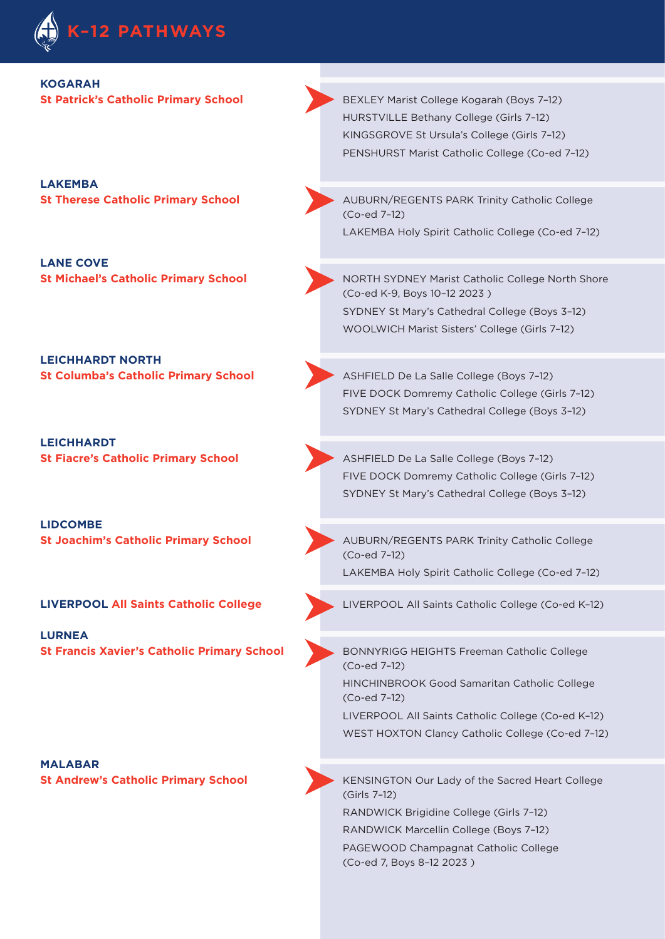

### **KOGARAH**

**LAKEMBA** 

**LANE COVE** 

**LEICHHARDT NORTH** 

**LEICHHARDT St Fiacre's Catholic Primary School <b>ASHFIELD** De La Salle College (Boys 7-12)

**LIDCOMBE** 

**LURNEA** 

**MALABAR** 

**St Patrick's Catholic Primary School <b>BEXLEY Marist College Kogarah (Boys 7-12)** HURSTVILLE Bethany College (Girls 7–12) KINGSGROVE St Ursula's College (Girls 7–12) PENSHURST Marist Catholic College (Co-ed 7–12)

**St Therese Catholic Primary School AUBURN/REGENTS PARK Trinity Catholic College** (Co-ed 7–12) LAKEMBA Holy Spirit Catholic College (Co-ed 7–12)

**St Michael's Catholic Primary School Marist Catholic College North Shore** (Co-ed K-9, Boys 10–12 2023 ) SYDNEY St Mary's Cathedral College (Boys 3–12) WOOLWICH Marist Sisters' College (Girls 7–12)

**St Columba's Catholic Primary School <b>ASHFIELD** De La Salle College (Boys 7-12) FIVE DOCK Domremy Catholic College (Girls 7–12) SYDNEY St Mary's Cathedral College (Boys 3–12)

> FIVE DOCK Domremy Catholic College (Girls 7–12) SYDNEY St Mary's Cathedral College (Boys 3–12)

**St Joachim's Catholic Primary School AUBURN/REGENTS PARK Trinity Catholic College** (Co-ed 7–12) LAKEMBA Holy Spirit Catholic College (Co-ed 7–12)

**LIVERPOOL All Saints Catholic College** LIVERPOOL All Saints Catholic College (Co-ed K–12)

**St Francis Xavier's Catholic Primary School BONNYRIGG HEIGHTS Freeman Catholic College** (Co-ed 7–12)

> HINCHINBROOK Good Samaritan Catholic College (Co-ed 7–12)

LIVERPOOL All Saints Catholic College (Co-ed K–12) WEST HOXTON Clancy Catholic College (Co-ed 7–12)

**St Andrew's Catholic Primary School KENSINGTON Our Lady of the Sacred Heart College** (Girls 7–12) RANDWICK Brigidine College (Girls 7–12) RANDWICK Marcellin College (Boys 7–12) PAGEWOOD Champagnat Catholic College (Co-ed 7, Boys 8–12 2023 )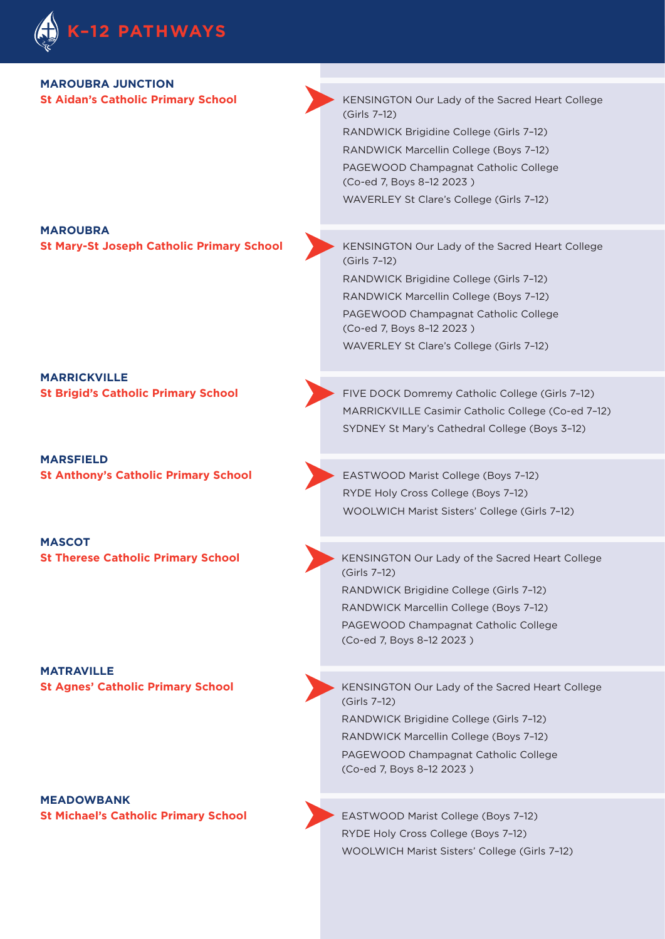

### **MAROUBRA JUNCTION**

**St Aidan's Catholic Primary School KENSINGTON Our Lady of the Sacred Heart College** (Girls 7–12) RANDWICK Brigidine College (Girls 7–12) RANDWICK Marcellin College (Boys 7–12) PAGEWOOD Champagnat Catholic College (Co-ed 7, Boys 8–12 2023 )

WAVERLEY St Clare's College (Girls 7–12)

#### **MAROUBRA St Mary-St Joseph Catholic Primary School KENSINGTON Our Lady of the Sacred Heart College**

(Girls 7–12) RANDWICK Brigidine College (Girls 7–12) RANDWICK Marcellin College (Boys 7–12) PAGEWOOD Champagnat Catholic College (Co-ed 7, Boys 8–12 2023 )

WAVERLEY St Clare's College (Girls 7–12)

**MARRICKVILLE** 

**MARSFIELD St Anthony's Catholic Primary School EASTWOOD Marist College (Boys 7-12)** 

**MASCOT** 

**MATRAVILLE** 

**MEADOWBANK St Michael's Catholic Primary School <b>EASTWOOD Marist College (Boys 7-12)** 

**St Brigid's Catholic Primary School FIVE DOCK Domremy Catholic College (Girls 7-12)** MARRICKVILLE Casimir Catholic College (Co-ed 7–12) SYDNEY St Mary's Cathedral College (Boys 3–12)

> RYDE Holy Cross College (Boys 7–12) WOOLWICH Marist Sisters' College (Girls 7–12)

**St Therese Catholic Primary School KENSINGTON Our Lady of the Sacred Heart College** (Girls 7–12) RANDWICK Brigidine College (Girls 7–12) RANDWICK Marcellin College (Boys 7–12) PAGEWOOD Champagnat Catholic College (Co-ed 7, Boys 8–12 2023 )

**St Agnes' Catholic Primary School KENSINGTON Our Lady of the Sacred Heart College** (Girls 7–12) RANDWICK Brigidine College (Girls 7–12) RANDWICK Marcellin College (Boys 7–12) PAGEWOOD Champagnat Catholic College (Co-ed 7, Boys 8–12 2023 )

> RYDE Holy Cross College (Boys 7–12) WOOLWICH Marist Sisters' College (Girls 7–12)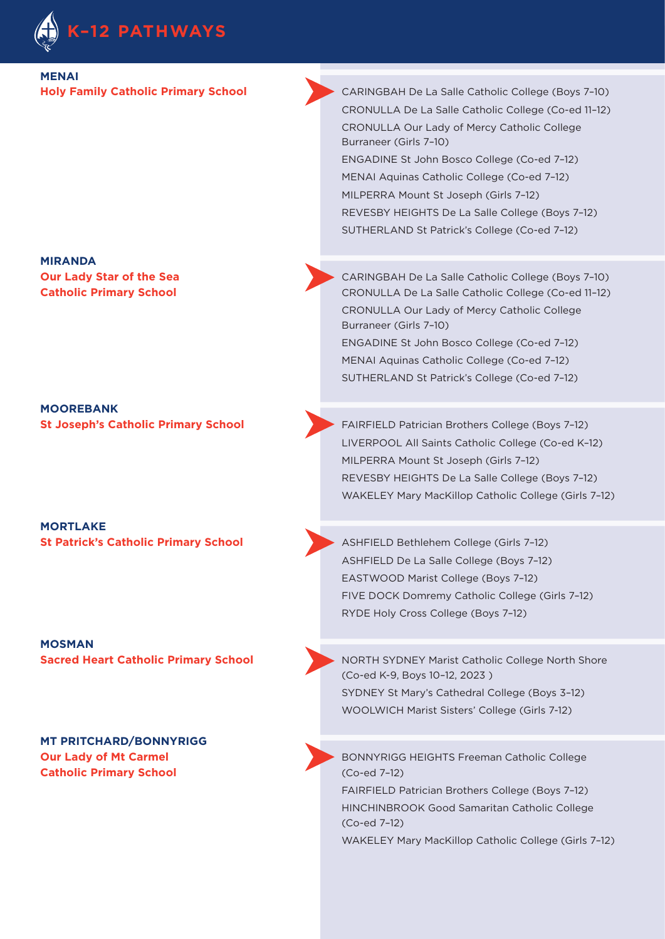

### **MENAI**

**MIRANDA** 

**MOOREBANK** 

**MORTLAKE** 

**MOSMAN** 

**MT PRITCHARD/BONNYRIGG Catholic Primary School** (Co-ed 7-12)

**Holy Family Catholic Primary School CARINGBAH De La Salle Catholic College (Boys 7-10)** CRONULLA De La Salle Catholic College (Co-ed 11–12) CRONULLA Our Lady of Mercy Catholic College Burraneer (Girls 7–10) ENGADINE St John Bosco College (Co-ed 7–12) MENAI Aquinas Catholic College (Co-ed 7–12) MILPERRA Mount St Joseph (Girls 7–12) REVESBY HEIGHTS De La Salle College (Boys 7–12) SUTHERLAND St Patrick's College (Co-ed 7–12)

**Our Lady Star of the Sea <b>CARINGBAH De La Salle Catholic College** (Boys 7-10) **Catholic Primary School Catholic College (Co-ed 11-12)** CRONULLA De La Salle Catholic College (Co-ed 11-12) CRONULLA Our Lady of Mercy Catholic College Burraneer (Girls 7–10) ENGADINE St John Bosco College (Co-ed 7–12) MENAI Aquinas Catholic College (Co-ed 7–12) SUTHERLAND St Patrick's College (Co-ed 7–12)

**St Joseph's Catholic Primary School FAIRFIELD Patrician Brothers College (Boys 7-12)** LIVERPOOL All Saints Catholic College (Co-ed K–12) MILPERRA Mount St Joseph (Girls 7–12) REVESBY HEIGHTS De La Salle College (Boys 7–12) WAKELEY Mary MacKillop Catholic College (Girls 7–12)

**St Patrick's Catholic Primary School ASHFIELD Bethlehem College (Girls 7-12)** ASHFIELD De La Salle College (Boys 7–12) EASTWOOD Marist College (Boys 7–12) FIVE DOCK Domremy Catholic College (Girls 7–12) RYDE Holy Cross College (Boys 7–12)

**Sacred Heart Catholic Primary School And Act Act NoRTH SYDNEY Marist Catholic College North Shore** (Co-ed K-9, Boys 10–12, 2023 ) SYDNEY St Mary's Cathedral College (Boys 3–12) WOOLWICH Marist Sisters' College (Girls 7-12)

**Our Lady of Mt Carmel Carmel Exercise Connection College Armore Catholic College Connection Catholic College** FAIRFIELD Patrician Brothers College (Boys 7–12) HINCHINBROOK Good Samaritan Catholic College (Co-ed 7–12)

WAKELEY Mary MacKillop Catholic College (Girls 7–12)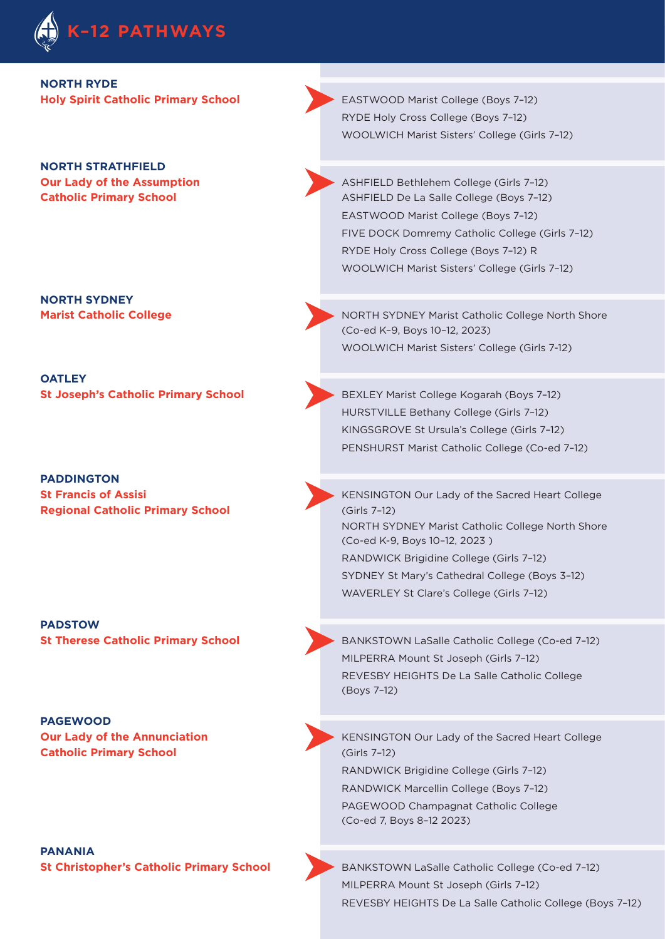

**NORTH RYDE** 

**NORTH STRATHFIELD** 

**NORTH SYDNEY** 

**OATLEY** 

**PADDINGTON Regional Catholic Primary School (Girls 7-12)** 

**PADSTOW** 

**PAGEWOOD Catholic Primary School (Girls 7–12)** 

**PANANIA** 

**Holy Spirit Catholic Primary School EASTWOOD Marist College (Boys 7-12)** RYDE Holy Cross College (Boys 7–12) WOOLWICH Marist Sisters' College (Girls 7–12)

**Our Lady of the Assumption Assumption ASHFIELD Bethlehem College (Girls 7-12) Catholic Primary School <b>Catholic Primary School ASHFIELD De La Salle College (Boys 7-12)** EASTWOOD Marist College (Boys 7–12) FIVE DOCK Domremy Catholic College (Girls 7–12) RYDE Holy Cross College (Boys 7–12) R WOOLWICH Marist Sisters' College (Girls 7–12)

**Marist Catholic College Marist Catholic College North Shore No. 2012 MORTH SYDNEY Marist Catholic College North Shore** (Co-ed K–9, Boys 10–12, 2023) WOOLWICH Marist Sisters' College (Girls 7-12)

**St Joseph's Catholic Primary School <b>BEXLEY Marist College Kogarah (Boys 7-12)** BEXLEY Marist College Kogarah (Boys 7-12) HURSTVILLE Bethany College (Girls 7–12) KINGSGROVE St Ursula's College (Girls 7–12) PENSHURST Marist Catholic College (Co-ed 7–12)

**St Francis of Assisi <b>St Francis of Assisi KENSINGTON Our Lady of the Sacred Heart College** NORTH SYDNEY Marist Catholic College North Shore (Co-ed K-9, Boys 10–12, 2023 ) RANDWICK Brigidine College (Girls 7–12) SYDNEY St Mary's Cathedral College (Boys 3–12) WAVERLEY St Clare's College (Girls 7–12)

**St Therese Catholic Primary School <b>BANKSTOWN LaSalle Catholic College (Co-ed 7-12)** MILPERRA Mount St Joseph (Girls 7–12) REVESBY HEIGHTS De La Salle Catholic College (Boys 7–12)

**Our Lady of the Annunciation Annunciation Annunciation** KENSINGTON Our Lady of the Sacred Heart College RANDWICK Brigidine College (Girls 7–12) RANDWICK Marcellin College (Boys 7–12) PAGEWOOD Champagnat Catholic College (Co-ed 7, Boys 8–12 2023)

**St Christopher's Catholic Primary School <b>BANKSTOWN LaSalle Catholic College (Co-ed 7-12)** MILPERRA Mount St Joseph (Girls 7–12) REVESBY HEIGHTS De La Salle Catholic College (Boys 7–12)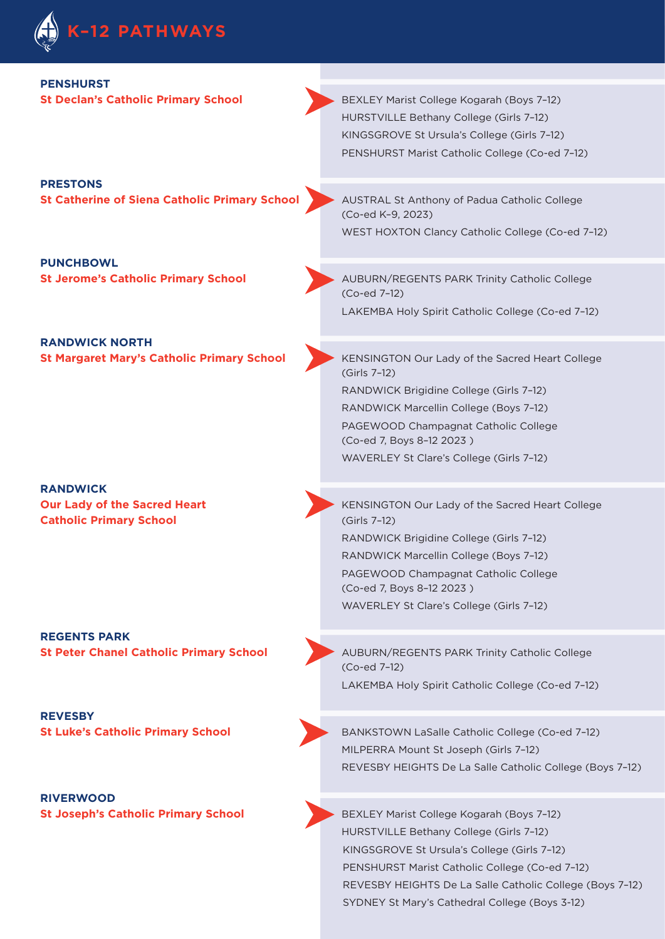

| <b>PENSHURST</b><br><b>St Declan's Catholic Primary School</b>                           | BEXLEY Marist College Kogarah (Boys 7-12)<br>HURSTVILLE Bethany College (Girls 7-12)<br>KINGSGROVE St Ursula's College (Girls 7-12)<br>PENSHURST Marist Catholic College (Co-ed 7-12)                                                                                 |
|------------------------------------------------------------------------------------------|-----------------------------------------------------------------------------------------------------------------------------------------------------------------------------------------------------------------------------------------------------------------------|
| <b>PRESTONS</b><br><b>St Catherine of Siena Catholic Primary School</b>                  | AUSTRAL St Anthony of Padua Catholic College<br>(Co-ed K-9, 2023)<br>WEST HOXTON Clancy Catholic College (Co-ed 7-12)                                                                                                                                                 |
| <b>PUNCHBOWL</b><br><b>St Jerome's Catholic Primary School</b>                           | <b>AUBURN/REGENTS PARK Trinity Catholic College</b><br>(Co-ed 7-12)<br>LAKEMBA Holy Spirit Catholic College (Co-ed 7-12)                                                                                                                                              |
| <b>RANDWICK NORTH</b><br><b>St Margaret Mary's Catholic Primary School</b>               | KENSINGTON Our Lady of the Sacred Heart College<br>(Girls 7-12)<br>RANDWICK Brigidine College (Girls 7-12)<br>RANDWICK Marcellin College (Boys 7-12)<br>PAGEWOOD Champagnat Catholic College<br>(Co-ed 7, Boys 8-12 2023)<br>WAVERLEY St Clare's College (Girls 7-12) |
| <b>RANDWICK</b><br><b>Our Lady of the Sacred Heart</b><br><b>Catholic Primary School</b> | KENSINGTON Our Lady of the Sacred Heart College<br>(Girls 7-12)<br>RANDWICK Brigidine College (Girls 7-12)                                                                                                                                                            |

**REGENTS PARK** 

**REVESBY** 

**RIVERWOOD** 

**St Peter Chanel Catholic Primary School AUBURN/REGENTS PARK Trinity Catholic College** (Co-ed 7–12) LAKEMBA Holy Spirit Catholic College (Co-ed 7–12)

RANDWICK Marcellin College (Boys 7–12) PAGEWOOD Champagnat Catholic College

WAVERLEY St Clare's College (Girls 7–12)

(Co-ed 7, Boys 8–12 2023 )

**St Luke's Catholic Primary School <b>BANKSTOWN** LaSalle Catholic College (Co-ed 7-12) MILPERRA Mount St Joseph (Girls 7–12) REVESBY HEIGHTS De La Salle Catholic College (Boys 7–12)

**St Joseph's Catholic Primary School <b>BEXLEY Marist College Kogarah (Boys 7-12)** HURSTVILLE Bethany College (Girls 7–12) KINGSGROVE St Ursula's College (Girls 7–12) PENSHURST Marist Catholic College (Co-ed 7–12) REVESBY HEIGHTS De La Salle Catholic College (Boys 7–12) SYDNEY St Mary's Cathedral College (Boys 3-12)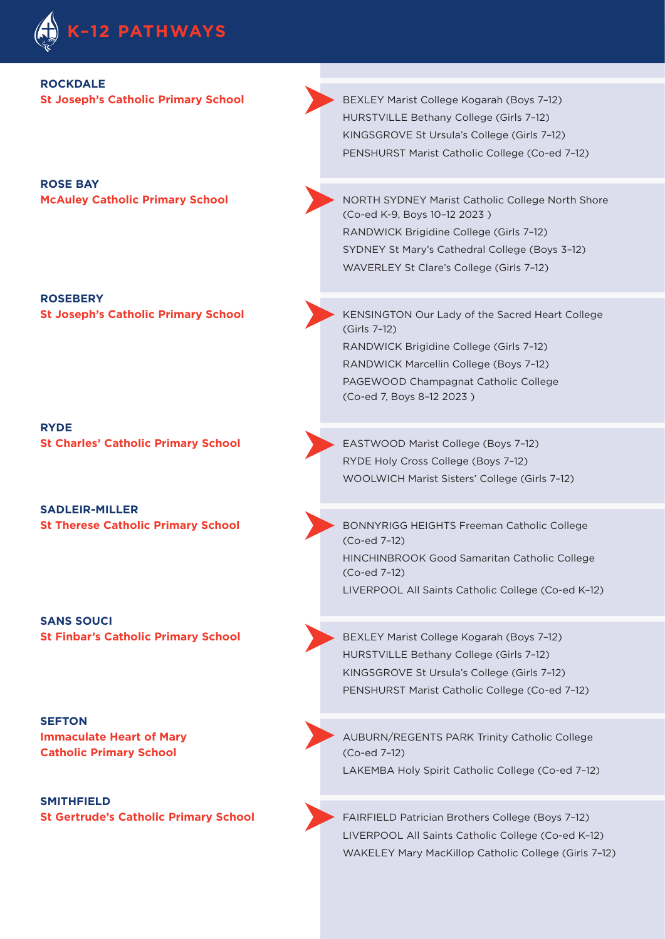

#### **ROCKDALE**

**ROSE BAY** 

**ROSEBERY** 

**RYDE St Charles' Catholic Primary School EASTWOOD Marist College (Boys 7-12)** 

**SADLEIR-MILLER** 

**SANS SOUCI**

#### **SEFTON**

**Catholic Primary School** (Co-ed 7-12)

**SMITHFIELD** 

**St Joseph's Catholic Primary School <b>BEXLEY Marist College Kogarah (Boys 7-12)** HURSTVILLE Bethany College (Girls 7–12) KINGSGROVE St Ursula's College (Girls 7–12) PENSHURST Marist Catholic College (Co-ed 7–12)

**McAuley Catholic Primary School <b>Ack** NORTH SYDNEY Marist Catholic College North Shore (Co-ed K-9, Boys 10–12 2023 ) RANDWICK Brigidine College (Girls 7–12) SYDNEY St Mary's Cathedral College (Boys 3–12) WAVERLEY St Clare's College (Girls 7–12)

**St Joseph's Catholic Primary School KENSINGTON Our Lady of the Sacred Heart College** (Girls 7–12) RANDWICK Brigidine College (Girls 7–12) RANDWICK Marcellin College (Boys 7–12) PAGEWOOD Champagnat Catholic College (Co-ed 7, Boys 8–12 2023 )

> RYDE Holy Cross College (Boys 7–12) WOOLWICH Marist Sisters' College (Girls 7–12)

**St Therese Catholic Primary School <b>BONNYRIGG HEIGHTS Freeman Catholic College** (Co-ed 7–12) HINCHINBROOK Good Samaritan Catholic College (Co-ed 7–12) LIVERPOOL All Saints Catholic College (Co-ed K–12)

**St Finbar's Catholic Primary School <b>BEXLEY Marist College Kogarah (Boys 7-12)** HURSTVILLE Bethany College (Girls 7–12) KINGSGROVE St Ursula's College (Girls 7–12) PENSHURST Marist Catholic College (Co-ed 7–12)

**Immaculate Heart of Mary AUBURN/REGENTS PARK Trinity Catholic College** LAKEMBA Holy Spirit Catholic College (Co-ed 7–12)

**St Gertrude's Catholic Primary School** FAIRFIELD Patrician Brothers College (Boys 7–12) LIVERPOOL All Saints Catholic College (Co-ed K–12) WAKELEY Mary MacKillop Catholic College (Girls 7–12)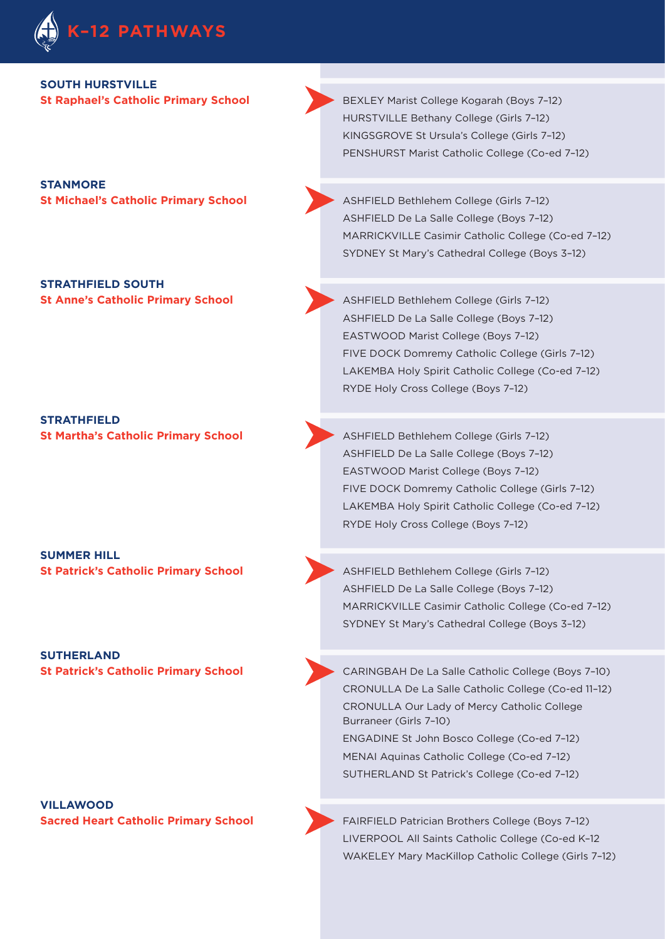

#### **SOUTH HURSTVILLE**

**STANMORE** 

**STRATHFIELD SOUTH** 

**STRATHFIELD** 

**SUMMER HILL** 

**SUTHERLAND** 

**VILLAWOOD** 

**St Raphael's Catholic Primary School <b>BEXLEY Marist College Kogarah (Boys 7-12)** BEXLEY Marist College Kogarah (Boys 7-12) HURSTVILLE Bethany College (Girls 7–12) KINGSGROVE St Ursula's College (Girls 7–12) PENSHURST Marist Catholic College (Co-ed 7–12)

**St Michael's Catholic Primary School ASHFIELD Bethlehem College (Girls 7-12)** ASHFIELD De La Salle College (Boys 7–12) MARRICKVILLE Casimir Catholic College (Co-ed 7–12) SYDNEY St Mary's Cathedral College (Boys 3–12)

**St Anne's Catholic Primary School ASHFIELD Bethlehem College (Girls 7-12)** ASHFIELD De La Salle College (Boys 7–12) EASTWOOD Marist College (Boys 7–12) FIVE DOCK Domremy Catholic College (Girls 7–12) LAKEMBA Holy Spirit Catholic College (Co-ed 7–12) RYDE Holy Cross College (Boys 7–12)

**St Martha's Catholic Primary School ASHFIELD Bethlehem College (Girls 7-12)** ASHFIELD De La Salle College (Boys 7–12) EASTWOOD Marist College (Boys 7–12) FIVE DOCK Domremy Catholic College (Girls 7–12) LAKEMBA Holy Spirit Catholic College (Co-ed 7–12) RYDE Holy Cross College (Boys 7–12)

**St Patrick's Catholic Primary School ASHFIELD Bethlehem College (Girls 7-12)** ASHFIELD De La Salle College (Boys 7–12) MARRICKVILLE Casimir Catholic College (Co-ed 7–12) SYDNEY St Mary's Cathedral College (Boys 3–12)

**St Patrick's Catholic Primary School CARINGBAH De La Salle Catholic College (Boys 7-10)** CRONULLA De La Salle Catholic College (Co-ed 11–12) CRONULLA Our Lady of Mercy Catholic College Burraneer (Girls 7–10) ENGADINE St John Bosco College (Co-ed 7–12) MENAI Aquinas Catholic College (Co-ed 7–12) SUTHERLAND St Patrick's College (Co-ed 7–12)

**Sacred Heart Catholic Primary School FAIRFIELD Patrician Brothers College (Boys 7-12)** LIVERPOOL All Saints Catholic College (Co-ed K–12 WAKELEY Mary MacKillop Catholic College (Girls 7–12)